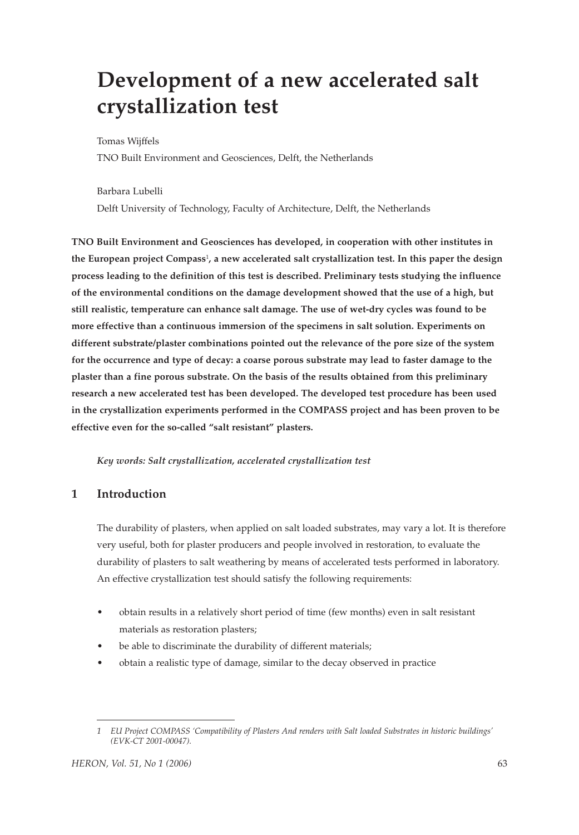# **Development of a new accelerated salt crystallization test**

Tomas Wijffels

TNO Built Environment and Geosciences, Delft, the Netherlands

Barbara Lubelli

Delft University of Technology, Faculty of Architecture, Delft, the Netherlands

**TNO Built Environment and Geosciences has developed, in cooperation with other institutes in the European project Compass**1**, a new accelerated salt crystallization test. In this paper the design process leading to the definition of this test is described. Preliminary tests studying the influence of the environmental conditions on the damage development showed that the use of a high, but still realistic, temperature can enhance salt damage. The use of wet-dry cycles was found to be more effective than a continuous immersion of the specimens in salt solution. Experiments on different substrate/plaster combinations pointed out the relevance of the pore size of the system for the occurrence and type of decay: a coarse porous substrate may lead to faster damage to the plaster than a fine porous substrate. On the basis of the results obtained from this preliminary research a new accelerated test has been developed. The developed test procedure has been used in the crystallization experiments performed in the COMPASS project and has been proven to be effective even for the so-called "salt resistant" plasters.** 

*Key words: Salt crystallization, accelerated crystallization test*

## **1 Introduction**

The durability of plasters, when applied on salt loaded substrates, may vary a lot. It is therefore very useful, both for plaster producers and people involved in restoration, to evaluate the durability of plasters to salt weathering by means of accelerated tests performed in laboratory. An effective crystallization test should satisfy the following requirements:

- obtain results in a relatively short period of time (few months) even in salt resistant materials as restoration plasters;
- be able to discriminate the durability of different materials;
- obtain a realistic type of damage, similar to the decay observed in practice

*<sup>1</sup> EU Project COMPASS 'Compatibility of Plasters And renders with Salt loaded Substrates in historic buildings' (EVK-CT 2001-00047).*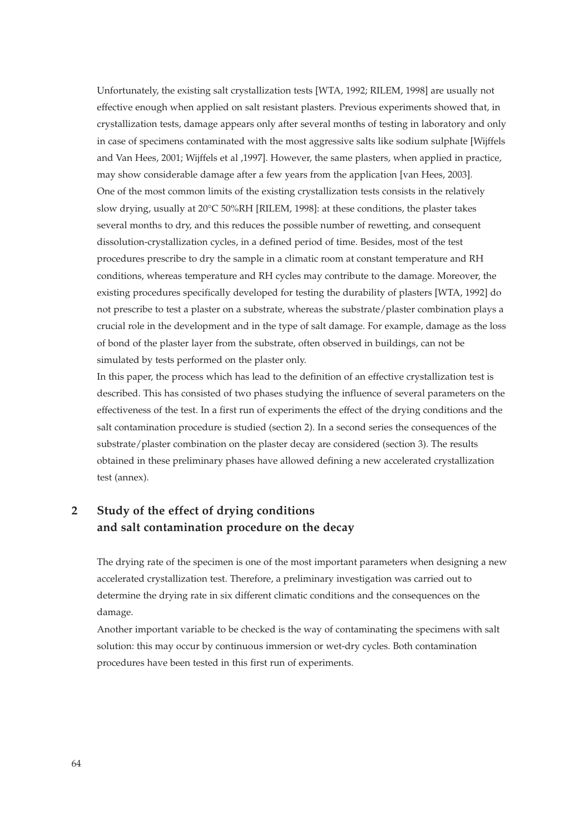Unfortunately, the existing salt crystallization tests [WTA, 1992; RILEM, 1998] are usually not effective enough when applied on salt resistant plasters. Previous experiments showed that, in crystallization tests, damage appears only after several months of testing in laboratory and only in case of specimens contaminated with the most aggressive salts like sodium sulphate [Wijffels and Van Hees, 2001; Wijffels et al ,1997]. However, the same plasters, when applied in practice, may show considerable damage after a few years from the application [van Hees, 2003]. One of the most common limits of the existing crystallization tests consists in the relatively slow drying, usually at 20°C 50%RH [RILEM, 1998]: at these conditions, the plaster takes several months to dry, and this reduces the possible number of rewetting, and consequent dissolution-crystallization cycles, in a defined period of time. Besides, most of the test procedures prescribe to dry the sample in a climatic room at constant temperature and RH conditions, whereas temperature and RH cycles may contribute to the damage. Moreover, the existing procedures specifically developed for testing the durability of plasters [WTA, 1992] do not prescribe to test a plaster on a substrate, whereas the substrate/plaster combination plays a crucial role in the development and in the type of salt damage. For example, damage as the loss of bond of the plaster layer from the substrate, often observed in buildings, can not be simulated by tests performed on the plaster only.

In this paper, the process which has lead to the definition of an effective crystallization test is described. This has consisted of two phases studying the influence of several parameters on the effectiveness of the test. In a first run of experiments the effect of the drying conditions and the salt contamination procedure is studied (section 2). In a second series the consequences of the substrate/plaster combination on the plaster decay are considered (section 3). The results obtained in these preliminary phases have allowed defining a new accelerated crystallization test (annex).

# **2 Study of the effect of drying conditions and salt contamination procedure on the decay**

The drying rate of the specimen is one of the most important parameters when designing a new accelerated crystallization test. Therefore, a preliminary investigation was carried out to determine the drying rate in six different climatic conditions and the consequences on the damage.

Another important variable to be checked is the way of contaminating the specimens with salt solution: this may occur by continuous immersion or wet-dry cycles. Both contamination procedures have been tested in this first run of experiments.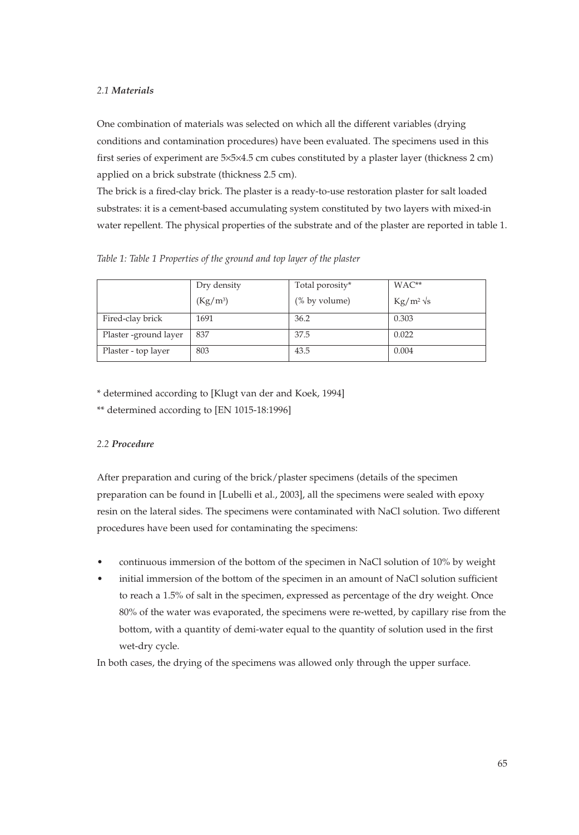## *2.1 Materials*

One combination of materials was selected on which all the different variables (drying conditions and contamination procedures) have been evaluated. The specimens used in this first series of experiment are 5×5×4.5 cm cubes constituted by a plaster layer (thickness 2 cm) applied on a brick substrate (thickness 2.5 cm).

The brick is a fired-clay brick. The plaster is a ready-to-use restoration plaster for salt loaded substrates: it is a cement-based accumulating system constituted by two layers with mixed-in water repellent. The physical properties of the substrate and of the plaster are reported in table 1.

| Table 1: Table 1 Properties of the ground and top layer of the plaster |  |  |  |  |  |  |  |
|------------------------------------------------------------------------|--|--|--|--|--|--|--|
|------------------------------------------------------------------------|--|--|--|--|--|--|--|

|                       | Dry density | Total porosity* | $WAC**$          |
|-----------------------|-------------|-----------------|------------------|
|                       | $(Kg/m^3)$  | (% by volume)   | $Kg/m^2\sqrt{s}$ |
| Fired-clay brick      | 1691        | 36.2            | 0.303            |
| Plaster -ground layer | 837         | 37.5            | 0.022            |
| Plaster - top layer   | 803         | 43.5            | 0.004            |

\* determined according to [Klugt van der and Koek, 1994]

\*\* determined according to [EN 1015-18:1996]

## *2.2 Procedure*

After preparation and curing of the brick/plaster specimens (details of the specimen preparation can be found in [Lubelli et al., 2003], all the specimens were sealed with epoxy resin on the lateral sides. The specimens were contaminated with NaCl solution. Two different procedures have been used for contaminating the specimens:

- continuous immersion of the bottom of the specimen in NaCl solution of 10% by weight
- initial immersion of the bottom of the specimen in an amount of NaCl solution sufficient to reach a 1.5% of salt in the specimen, expressed as percentage of the dry weight. Once 80% of the water was evaporated, the specimens were re-wetted, by capillary rise from the bottom, with a quantity of demi-water equal to the quantity of solution used in the first wet-dry cycle.

In both cases, the drying of the specimens was allowed only through the upper surface.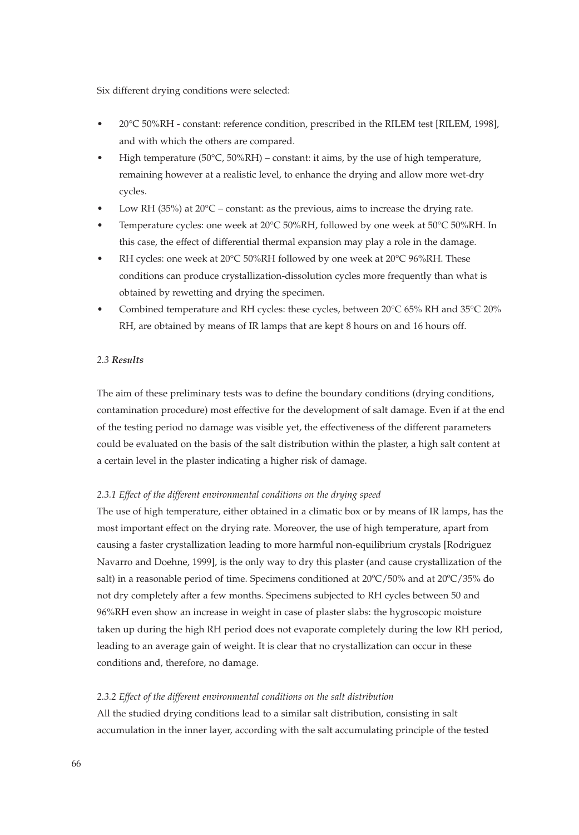Six different drying conditions were selected:

- 20°C 50%RH constant: reference condition, prescribed in the RILEM test [RILEM, 1998], and with which the others are compared.
- High temperature (50 $^{\circ}$ C, 50%RH) constant: it aims, by the use of high temperature, remaining however at a realistic level, to enhance the drying and allow more wet-dry cycles.
- Low RH (35%) at  $20^{\circ}$ C constant: as the previous, aims to increase the drying rate.
- Temperature cycles: one week at 20°C 50%RH, followed by one week at 50°C 50%RH. In this case, the effect of differential thermal expansion may play a role in the damage.
- RH cycles: one week at 20°C 50%RH followed by one week at 20°C 96%RH. These conditions can produce crystallization-dissolution cycles more frequently than what is obtained by rewetting and drying the specimen.
- Combined temperature and RH cycles: these cycles, between 20°C 65% RH and 35°C 20% RH, are obtained by means of IR lamps that are kept 8 hours on and 16 hours off.

#### *2.3 Results*

The aim of these preliminary tests was to define the boundary conditions (drying conditions, contamination procedure) most effective for the development of salt damage. Even if at the end of the testing period no damage was visible yet, the effectiveness of the different parameters could be evaluated on the basis of the salt distribution within the plaster, a high salt content at a certain level in the plaster indicating a higher risk of damage.

#### *2.3.1 Effect of the different environmental conditions on the drying speed*

The use of high temperature, either obtained in a climatic box or by means of IR lamps, has the most important effect on the drying rate. Moreover, the use of high temperature, apart from causing a faster crystallization leading to more harmful non-equilibrium crystals [Rodriguez Navarro and Doehne, 1999], is the only way to dry this plaster (and cause crystallization of the salt) in a reasonable period of time. Specimens conditioned at 20ºC/50% and at 20ºC/35% do not dry completely after a few months. Specimens subjected to RH cycles between 50 and 96%RH even show an increase in weight in case of plaster slabs: the hygroscopic moisture taken up during the high RH period does not evaporate completely during the low RH period, leading to an average gain of weight. It is clear that no crystallization can occur in these conditions and, therefore, no damage.

#### *2.3.2 Effect of the different environmental conditions on the salt distribution*

All the studied drying conditions lead to a similar salt distribution, consisting in salt accumulation in the inner layer, according with the salt accumulating principle of the tested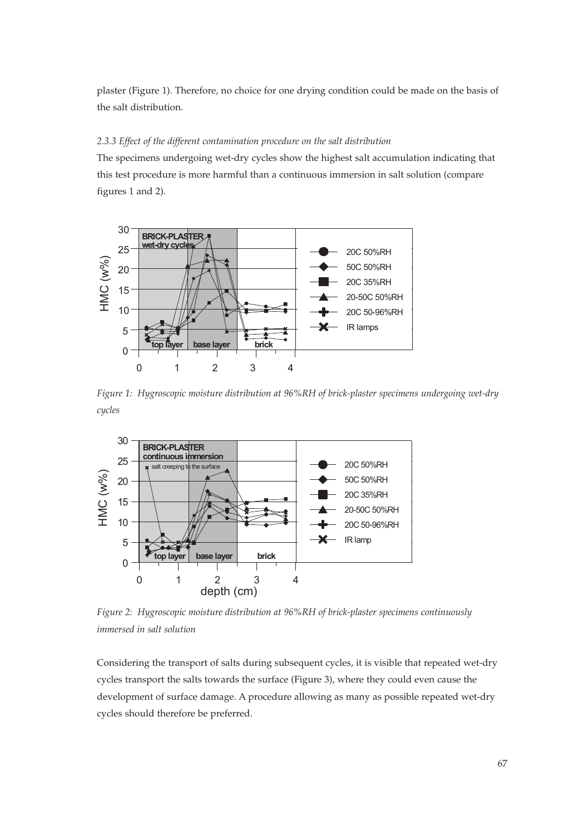plaster (Figure 1). Therefore, no choice for one drying condition could be made on the basis of the salt distribution.

### *2.3.3 Effect of the different contamination procedure on the salt distribution*

The specimens undergoing wet-dry cycles show the highest salt accumulation indicating that this test procedure is more harmful than a continuous immersion in salt solution (compare figures 1 and 2).



*Figure 1: Hygroscopic moisture distribution at 96%RH of brick-plaster specimens undergoing wet-dry cycles*



*Figure 2: Hygroscopic moisture distribution at 96%RH of brick-plaster specimens continuously immersed in salt solution*

Considering the transport of salts during subsequent cycles, it is visible that repeated wet-dry cycles transport the salts towards the surface (Figure 3), where they could even cause the development of surface damage. A procedure allowing as many as possible repeated wet-dry cycles should therefore be preferred.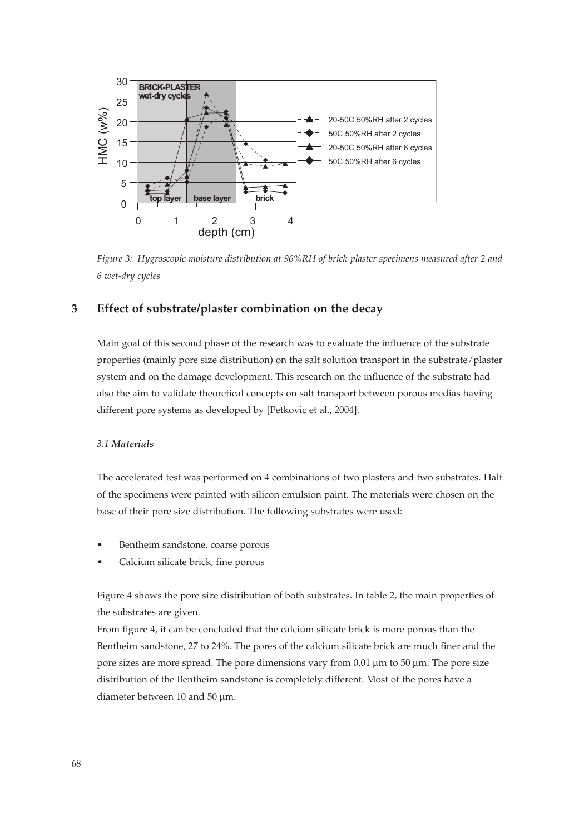

*Figure 3: Hygroscopic moisture distribution at 96%RH of brick-plaster specimens measured after 2 and 6 wet-dry cycles*

## **3 Effect of substrate/plaster combination on the decay**

Main goal of this second phase of the research was to evaluate the influence of the substrate properties (mainly pore size distribution) on the salt solution transport in the substrate/plaster system and on the damage development. This research on the influence of the substrate had also the aim to validate theoretical concepts on salt transport between porous medias having different pore systems as developed by [Petkovic et al., 2004].

## *3.1 Materials*

The accelerated test was performed on 4 combinations of two plasters and two substrates. Half of the specimens were painted with silicon emulsion paint. The materials were chosen on the base of their pore size distribution. The following substrates were used:

- Bentheim sandstone, coarse porous
- Calcium silicate brick, fine porous

Figure 4 shows the pore size distribution of both substrates. In table 2, the main properties of the substrates are given.

From figure 4, it can be concluded that the calcium silicate brick is more porous than the Bentheim sandstone, 27 to 24%. The pores of the calcium silicate brick are much finer and the pore sizes are more spread. The pore dimensions vary from 0,01 μm to 50 μm. The pore size distribution of the Bentheim sandstone is completely different. Most of the pores have a diameter between 10 and 50 μm.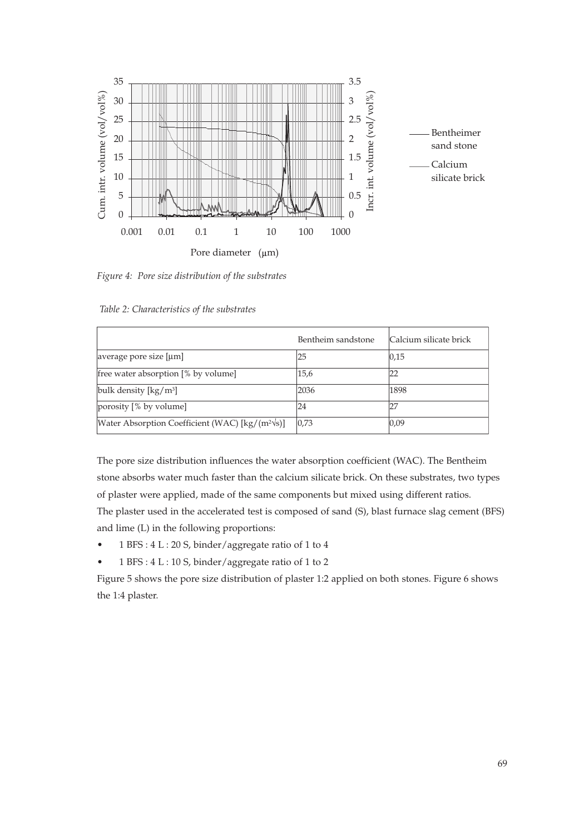

*Figure 4: Pore size distribution of the substrates*

*Table 2: Characteristics of the substrates*

|                                                                     | Bentheim sandstone | Calcium silicate brick |
|---------------------------------------------------------------------|--------------------|------------------------|
| average pore size [µm]                                              | 25                 | 0,15                   |
| free water absorption [% by volume]                                 | 15,6               | 22                     |
| bulk density $\left[\frac{kg}{m^3}\right]$                          | 2036               | 1898                   |
| porosity [% by volume]                                              | 24                 | 27                     |
| Water Absorption Coefficient (WAC) $\lceil \text{kg/(m²/s)} \rceil$ | 0,73               | 0,09                   |

The pore size distribution influences the water absorption coefficient (WAC). The Bentheim stone absorbs water much faster than the calcium silicate brick. On these substrates, two types of plaster were applied, made of the same components but mixed using different ratios. The plaster used in the accelerated test is composed of sand (S), blast furnace slag cement (BFS) and lime (L) in the following proportions:

- 1 BFS : 4 L : 20 S, binder/aggregate ratio of 1 to 4
- 1 BFS : 4 L : 10 S, binder/aggregate ratio of 1 to 2

Figure 5 shows the pore size distribution of plaster 1:2 applied on both stones. Figure 6 shows the 1:4 plaster.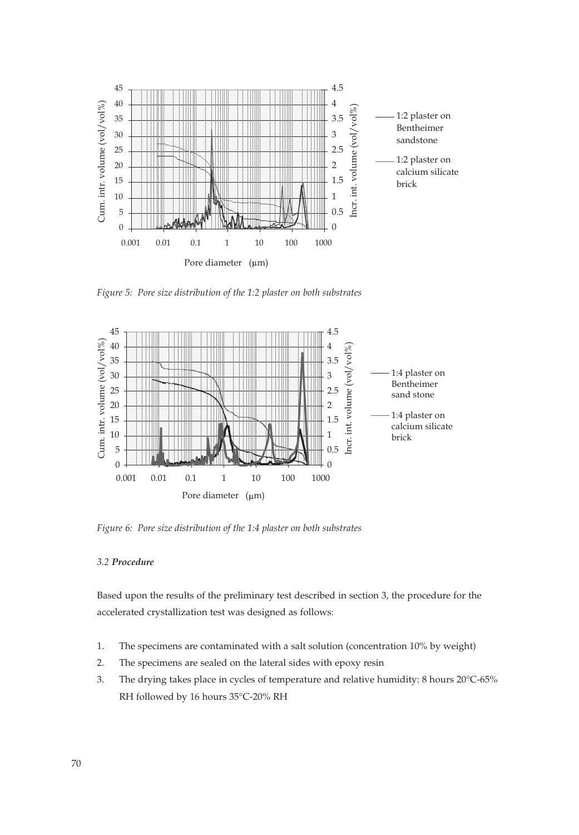

*Figure 5: Pore size distribution of the 1:2 plaster on both substrates*



*Figure 6: Pore size distribution of the 1:4 plaster on both substrates*

#### *3.2 Procedure*

Based upon the results of the preliminary test described in section 3, the procedure for the accelerated crystallization test was designed as follows:

- 1. The specimens are contaminated with a salt solution (concentration 10% by weight)
- 2. The specimens are sealed on the lateral sides with epoxy resin
- 3. The drying takes place in cycles of temperature and relative humidity: 8 hours 20°C-65% RH followed by 16 hours 35°C-20% RH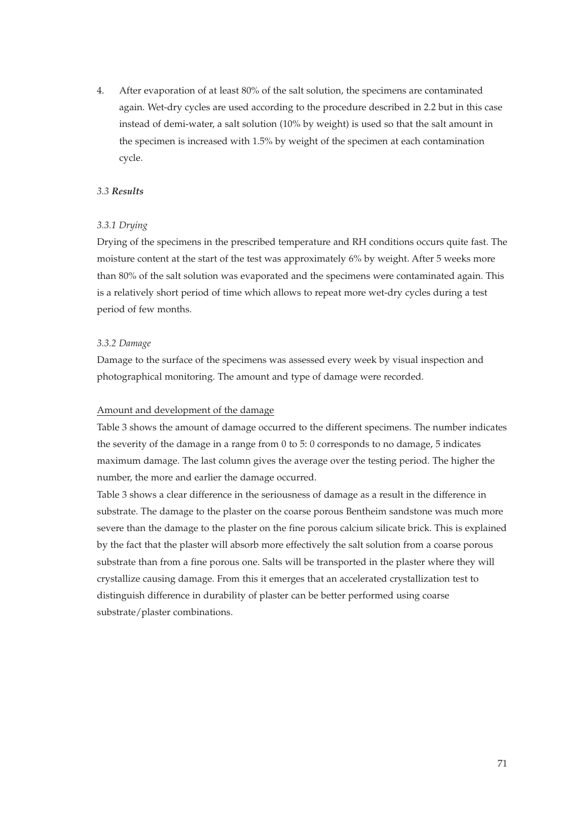4. After evaporation of at least 80% of the salt solution, the specimens are contaminated again. Wet-dry cycles are used according to the procedure described in 2.2 but in this case instead of demi-water, a salt solution (10% by weight) is used so that the salt amount in the specimen is increased with 1.5% by weight of the specimen at each contamination cycle.

#### *3.3 Results*

#### *3.3.1 Drying*

Drying of the specimens in the prescribed temperature and RH conditions occurs quite fast. The moisture content at the start of the test was approximately 6% by weight. After 5 weeks more than 80% of the salt solution was evaporated and the specimens were contaminated again. This is a relatively short period of time which allows to repeat more wet-dry cycles during a test period of few months.

#### *3.3.2 Damage*

Damage to the surface of the specimens was assessed every week by visual inspection and photographical monitoring. The amount and type of damage were recorded.

## Amount and development of the damage

Table 3 shows the amount of damage occurred to the different specimens. The number indicates the severity of the damage in a range from 0 to 5: 0 corresponds to no damage, 5 indicates maximum damage. The last column gives the average over the testing period. The higher the number, the more and earlier the damage occurred.

Table 3 shows a clear difference in the seriousness of damage as a result in the difference in substrate. The damage to the plaster on the coarse porous Bentheim sandstone was much more severe than the damage to the plaster on the fine porous calcium silicate brick. This is explained by the fact that the plaster will absorb more effectively the salt solution from a coarse porous substrate than from a fine porous one. Salts will be transported in the plaster where they will crystallize causing damage. From this it emerges that an accelerated crystallization test to distinguish difference in durability of plaster can be better performed using coarse substrate/plaster combinations.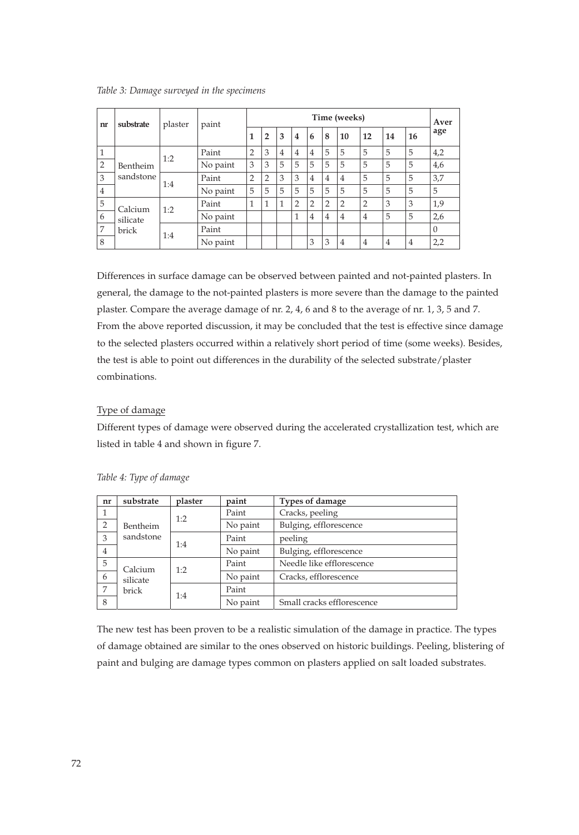|  |  |  |  |  |  |  | Table 3: Damage surveyed in the specimens |
|--|--|--|--|--|--|--|-------------------------------------------|
|--|--|--|--|--|--|--|-------------------------------------------|

| nr             | substrate                                  | plaster | paint    | Time (weeks)   |                |                |                |                |                |                | Aver           |                |                |          |
|----------------|--------------------------------------------|---------|----------|----------------|----------------|----------------|----------------|----------------|----------------|----------------|----------------|----------------|----------------|----------|
|                |                                            |         |          | $\mathbf{1}$   | $\overline{2}$ | 3              | $\overline{4}$ | 6              | 8              | 10             | 12             | 14             | 16             | age      |
| 1              |                                            | 1:2     | Paint    | $\overline{2}$ | 3              | $\overline{4}$ | 4              | $\overline{4}$ | 5              | 5              | 5              | 5              | 5              | 4,2      |
| $\overline{2}$ | Bentheim                                   |         | No paint | 3              | 3              | 5              | 5              | 5              | 5              | 5              | 5              | 5              | 5              | 4,6      |
| 3              | sandstone                                  | 1:4     | Paint    | $\overline{2}$ | 2              | 3              | 3              | $\overline{4}$ | $\overline{4}$ | $\overline{4}$ | 5              | 5              | 5              | 3,7      |
| $\overline{4}$ |                                            |         | No paint | 5              | 5              | 5              | 5              | 5              | 5              | 5              | 5              | 5              | 5              | 5        |
| 5              | Calcium<br>1:2<br>silicate<br>brick<br>1:4 |         | Paint    | 1              | 1              | 1              | 2              | $\overline{2}$ | $\overline{2}$ | $\overline{2}$ | $\overline{2}$ | 3              | 3              | 1,9      |
| 6              |                                            |         | No paint |                |                |                | 1              | $\overline{4}$ | $\overline{4}$ | $\overline{4}$ | $\overline{4}$ | 5              | 5              | 2,6      |
| 7              |                                            |         | Paint    |                |                |                |                |                |                |                |                |                |                | $\Omega$ |
| 8              |                                            |         | No paint |                |                |                |                | 3              | 3              | $\overline{4}$ | $\overline{4}$ | $\overline{4}$ | $\overline{4}$ | 2,2      |

Differences in surface damage can be observed between painted and not-painted plasters. In general, the damage to the not-painted plasters is more severe than the damage to the painted plaster. Compare the average damage of nr. 2, 4, 6 and 8 to the average of nr. 1, 3, 5 and 7. From the above reported discussion, it may be concluded that the test is effective since damage to the selected plasters occurred within a relatively short period of time (some weeks). Besides, the test is able to point out differences in the durability of the selected substrate/plaster combinations.

## Type of damage

Different types of damage were observed during the accelerated crystallization test, which are listed in table 4 and shown in figure 7.

| nr             | substrate | plaster      | paint                  | <b>Types of damage</b>     |  |  |  |  |
|----------------|-----------|--------------|------------------------|----------------------------|--|--|--|--|
|                |           | 1:2          | Paint                  | Cracks, peeling            |  |  |  |  |
| 2              | Bentheim  |              | Bulging, efflorescence |                            |  |  |  |  |
| 3              | sandstone | 1:4          | Paint                  | peeling                    |  |  |  |  |
| $\overline{4}$ |           |              | No paint               | Bulging, efflorescence     |  |  |  |  |
| 5              | Calcium   | 1:2          | Paint                  | Needle like efflorescence  |  |  |  |  |
| 6              | silicate  |              | No paint               | Cracks, efflorescence      |  |  |  |  |
| 7              | brick     | Paint<br>1:4 |                        |                            |  |  |  |  |
| 8              |           |              | No paint               | Small cracks efflorescence |  |  |  |  |

*Table 4: Type of damage*

The new test has been proven to be a realistic simulation of the damage in practice. The types of damage obtained are similar to the ones observed on historic buildings. Peeling, blistering of paint and bulging are damage types common on plasters applied on salt loaded substrates.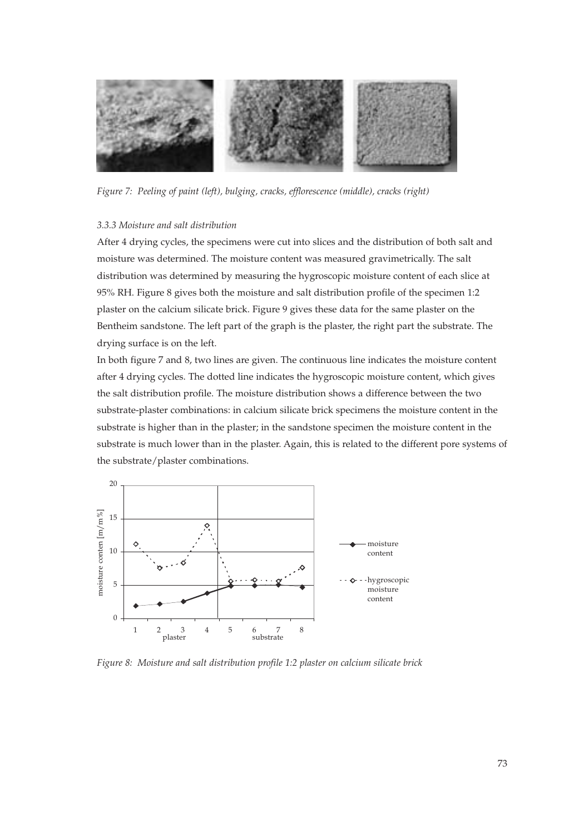

*Figure 7: Peeling of paint (left), bulging, cracks, efflorescence (middle), cracks (right)*

#### *3.3.3 Moisture and salt distribution*

After 4 drying cycles, the specimens were cut into slices and the distribution of both salt and moisture was determined. The moisture content was measured gravimetrically. The salt distribution was determined by measuring the hygroscopic moisture content of each slice at 95% RH. Figure 8 gives both the moisture and salt distribution profile of the specimen 1:2 plaster on the calcium silicate brick. Figure 9 gives these data for the same plaster on the Bentheim sandstone. The left part of the graph is the plaster, the right part the substrate. The drying surface is on the left.

In both figure 7 and 8, two lines are given. The continuous line indicates the moisture content after 4 drying cycles. The dotted line indicates the hygroscopic moisture content, which gives the salt distribution profile. The moisture distribution shows a difference between the two substrate-plaster combinations: in calcium silicate brick specimens the moisture content in the substrate is higher than in the plaster; in the sandstone specimen the moisture content in the substrate is much lower than in the plaster. Again, this is related to the different pore systems of the substrate/plaster combinations.



*Figure 8: Moisture and salt distribution profile 1:2 plaster on calcium silicate brick*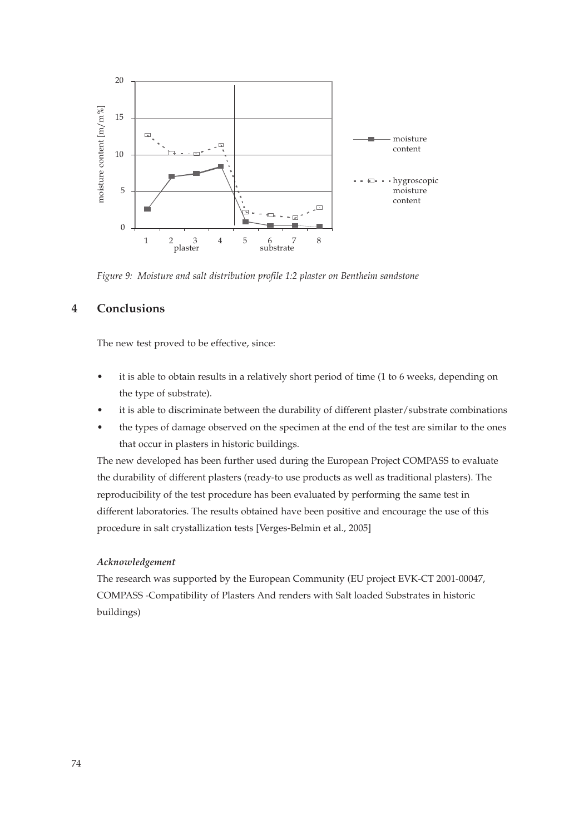

*Figure 9: Moisture and salt distribution profile 1:2 plaster on Bentheim sandstone*

## **4 Conclusions**

The new test proved to be effective, since:

- it is able to obtain results in a relatively short period of time (1 to 6 weeks, depending on the type of substrate).
- it is able to discriminate between the durability of different plaster/substrate combinations
- the types of damage observed on the specimen at the end of the test are similar to the ones that occur in plasters in historic buildings.

The new developed has been further used during the European Project COMPASS to evaluate the durability of different plasters (ready-to use products as well as traditional plasters). The reproducibility of the test procedure has been evaluated by performing the same test in different laboratories. The results obtained have been positive and encourage the use of this procedure in salt crystallization tests [Verges-Belmin et al., 2005]

## *Acknowledgement*

The research was supported by the European Community (EU project EVK-CT 2001-00047, COMPASS -Compatibility of Plasters And renders with Salt loaded Substrates in historic buildings)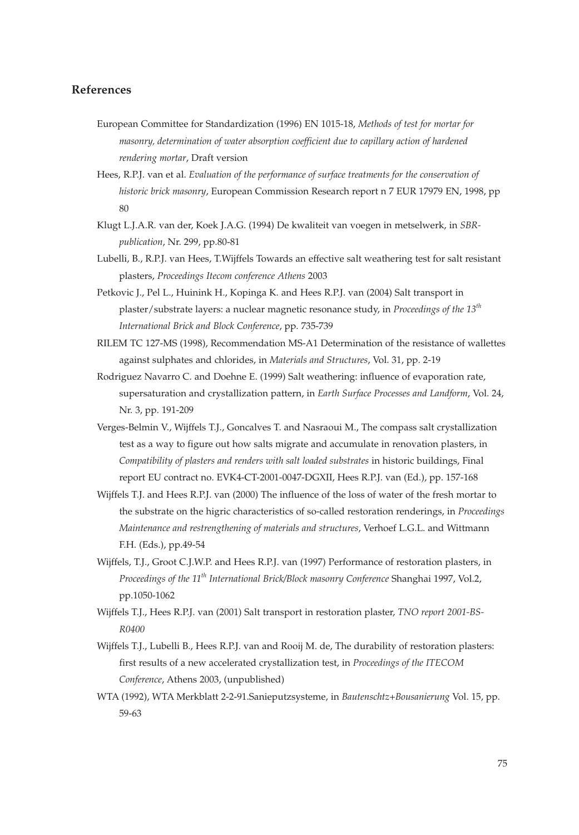## **References**

- European Committee for Standardization (1996) EN 1015-18, *Methods of test for mortar for masonry, determination of water absorption coefficient due to capillary action of hardened rendering mortar*, Draft version
- Hees, R.P.J. van et al. *Evaluation of the performance of surface treatments for the conservation of historic brick masonry*, European Commission Research report n 7 EUR 17979 EN, 1998, pp 80
- Klugt L.J.A.R. van der, Koek J.A.G. (1994) De kwaliteit van voegen in metselwerk, in *SBRpublication*, Nr. 299, pp.80-81
- Lubelli, B., R.P.J. van Hees, T.Wijffels Towards an effective salt weathering test for salt resistant plasters, *Proceedings Itecom conference Athens* 2003
- Petkovic J., Pel L., Huinink H., Kopinga K. and Hees R.P.J. van (2004) Salt transport in plaster/substrate layers: a nuclear magnetic resonance study, in *Proceedings of the 13th International Brick and Block Conference*, pp. 735-739
- RILEM TC 127-MS (1998), Recommendation MS-A1 Determination of the resistance of wallettes against sulphates and chlorides, in *Materials and Structures*, Vol. 31, pp. 2-19
- Rodriguez Navarro C. and Doehne E. (1999) Salt weathering: influence of evaporation rate, supersaturation and crystallization pattern, in *Earth Surface Processes and Landform*, Vol. 24, Nr. 3, pp. 191-209
- Verges-Belmin V., Wijffels T.J., Goncalves T. and Nasraoui M., The compass salt crystallization test as a way to figure out how salts migrate and accumulate in renovation plasters, in *Compatibility of plasters and renders with salt loaded substrates* in historic buildings, Final report EU contract no. EVK4-CT-2001-0047-DGXII, Hees R.P.J. van (Ed.), pp. 157-168
- Wijffels T.J. and Hees R.P.J. van (2000) The influence of the loss of water of the fresh mortar to the substrate on the higric characteristics of so-called restoration renderings, in *Proceedings Maintenance and restrengthening of materials and structures*, Verhoef L.G.L. and Wittmann F.H. (Eds.), pp.49-54
- Wijffels, T.J., Groot C.J.W.P. and Hees R.P.J. van (1997) Performance of restoration plasters, in *Proceedings of the 11th International Brick/Block masonry Conference* Shanghai 1997, Vol.2, pp.1050-1062
- Wijffels T.J., Hees R.P.J. van (2001) Salt transport in restoration plaster, *TNO report 2001-BS-R0400*
- Wijffels T.J., Lubelli B., Hees R.P.J. van and Rooij M. de, The durability of restoration plasters: first results of a new accelerated crystallization test, in *Proceedings of the ITECOM Conference*, Athens 2003, (unpublished)
- WTA (1992), WTA Merkblatt 2-2-91.Sanieputzsysteme, in *Bautenschtz+Bousanierung* Vol. 15, pp. 59-63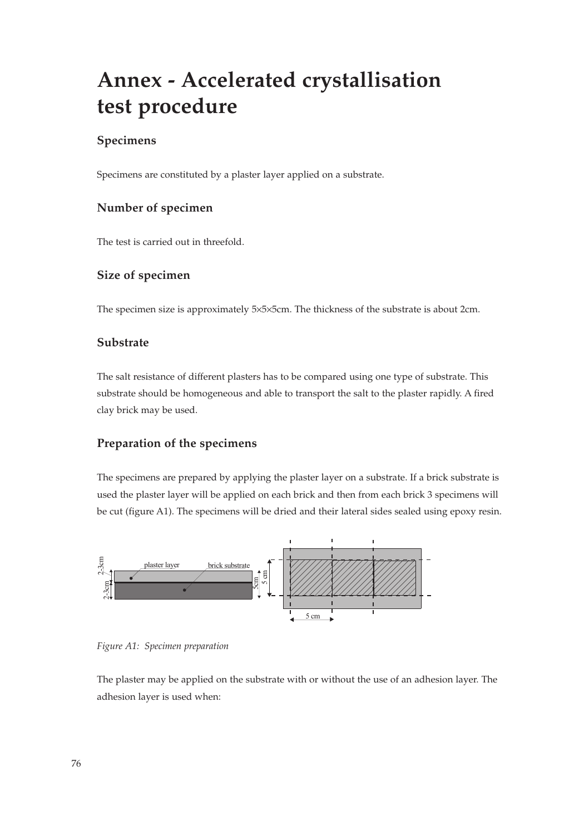# **Annex - Accelerated crystallisation test procedure**

# **Specimens**

Specimens are constituted by a plaster layer applied on a substrate.

# **Number of specimen**

The test is carried out in threefold.

# **Size of specimen**

The specimen size is approximately 5×5×5cm. The thickness of the substrate is about 2cm.

## **Substrate**

The salt resistance of different plasters has to be compared using one type of substrate. This substrate should be homogeneous and able to transport the salt to the plaster rapidly. A fired clay brick may be used.

## **Preparation of the specimens**

The specimens are prepared by applying the plaster layer on a substrate. If a brick substrate is used the plaster layer will be applied on each brick and then from each brick 3 specimens will be cut (figure A1). The specimens will be dried and their lateral sides sealed using epoxy resin.



*Figure A1: Specimen preparation*

The plaster may be applied on the substrate with or without the use of an adhesion layer. The adhesion layer is used when: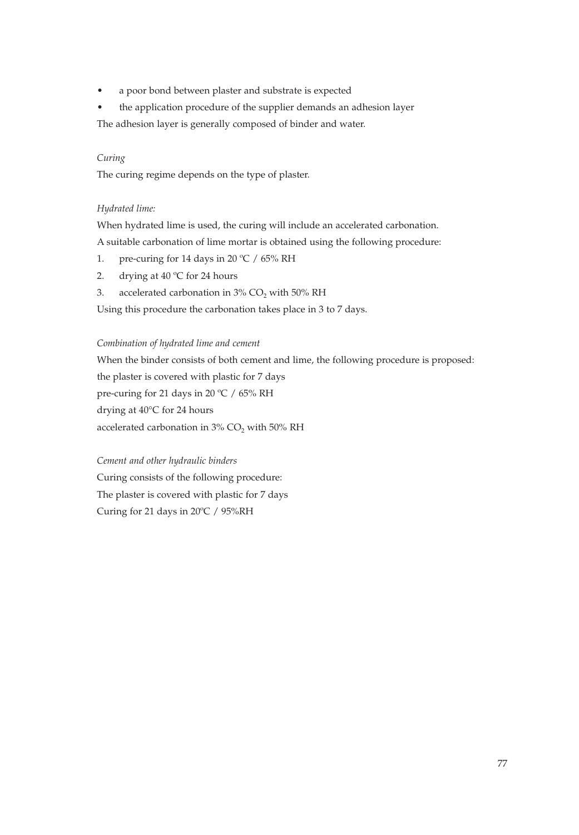• a poor bond between plaster and substrate is expected

• the application procedure of the supplier demands an adhesion layer The adhesion layer is generally composed of binder and water.

## *Curing*

The curing regime depends on the type of plaster.

#### *Hydrated lime:*

When hydrated lime is used, the curing will include an accelerated carbonation.

A suitable carbonation of lime mortar is obtained using the following procedure:

- 1. pre-curing for 14 days in 20 °C / 65% RH
- 2. drying at 40 °C for 24 hours
- 3. accelerated carbonation in  $3\%$  CO<sub>2</sub> with  $50\%$  RH

Using this procedure the carbonation takes place in 3 to 7 days.

### *Combination of hydrated lime and cement*

When the binder consists of both cement and lime, the following procedure is proposed: the plaster is covered with plastic for 7 days pre-curing for 21 days in 20 ºC / 65% RH drying at 40°C for 24 hours accelerated carbonation in  $3\%$  CO<sub>2</sub> with  $50\%$  RH

## *Cement and other hydraulic binders*

Curing consists of the following procedure: The plaster is covered with plastic for 7 days Curing for 21 days in 20ºC / 95%RH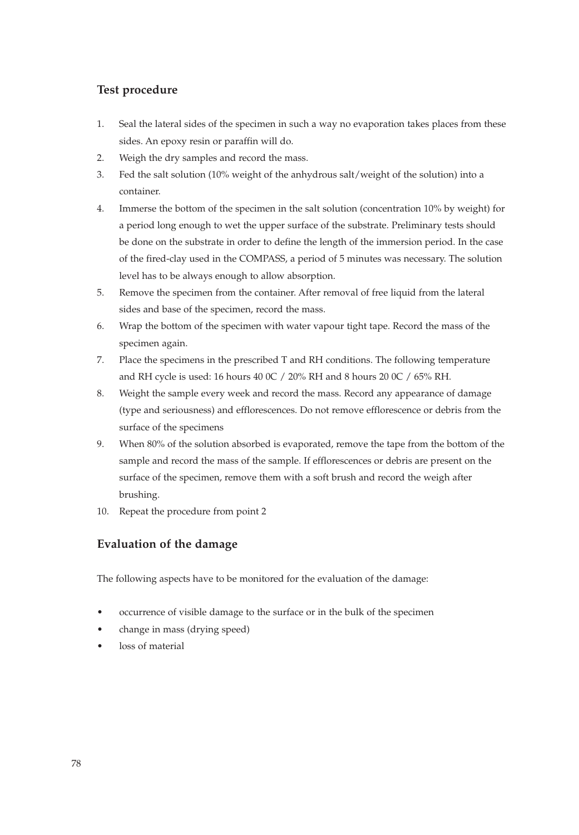# **Test procedure**

- 1. Seal the lateral sides of the specimen in such a way no evaporation takes places from these sides. An epoxy resin or paraffin will do.
- 2. Weigh the dry samples and record the mass.
- 3. Fed the salt solution (10% weight of the anhydrous salt/weight of the solution) into a container.
- 4. Immerse the bottom of the specimen in the salt solution (concentration 10% by weight) for a period long enough to wet the upper surface of the substrate. Preliminary tests should be done on the substrate in order to define the length of the immersion period. In the case of the fired-clay used in the COMPASS, a period of 5 minutes was necessary. The solution level has to be always enough to allow absorption.
- 5. Remove the specimen from the container. After removal of free liquid from the lateral sides and base of the specimen, record the mass.
- 6. Wrap the bottom of the specimen with water vapour tight tape. Record the mass of the specimen again.
- 7. Place the specimens in the prescribed T and RH conditions. The following temperature and RH cycle is used: 16 hours 40 0C / 20% RH and 8 hours 20 0C / 65% RH.
- 8. Weight the sample every week and record the mass. Record any appearance of damage (type and seriousness) and efflorescences. Do not remove efflorescence or debris from the surface of the specimens
- 9. When 80% of the solution absorbed is evaporated, remove the tape from the bottom of the sample and record the mass of the sample. If efflorescences or debris are present on the surface of the specimen, remove them with a soft brush and record the weigh after brushing.
- 10. Repeat the procedure from point 2

# **Evaluation of the damage**

The following aspects have to be monitored for the evaluation of the damage:

- occurrence of visible damage to the surface or in the bulk of the specimen
- change in mass (drying speed)
- loss of material